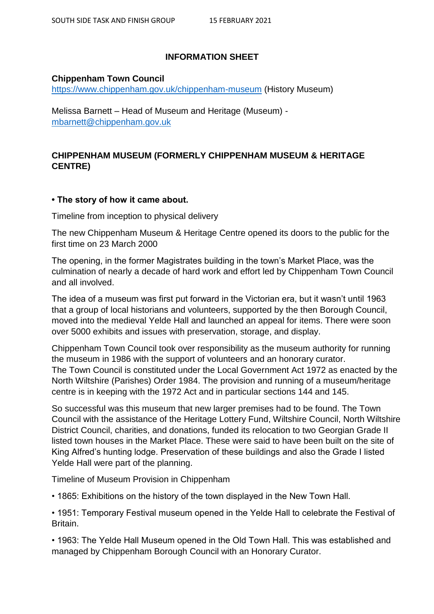## **INFORMATION SHEET**

## **Chippenham Town Council**

<https://www.chippenham.gov.uk/chippenham-museum> (History Museum)

Melissa Barnett – Head of Museum and Heritage (Museum) [mbarnett@chippenham.gov.uk](mailto:mbarnett@chippenham.gov.uk)

# **CHIPPENHAM MUSEUM (FORMERLY CHIPPENHAM MUSEUM & HERITAGE CENTRE)**

# **• The story of how it came about.**

Timeline from inception to physical delivery

The new Chippenham Museum & Heritage Centre opened its doors to the public for the first time on 23 March 2000

The opening, in the former Magistrates building in the town's Market Place, was the culmination of nearly a decade of hard work and effort led by Chippenham Town Council and all involved.

The idea of a museum was first put forward in the Victorian era, but it wasn't until 1963 that a group of local historians and volunteers, supported by the then Borough Council, moved into the medieval Yelde Hall and launched an appeal for items. There were soon over 5000 exhibits and issues with preservation, storage, and display.

Chippenham Town Council took over responsibility as the museum authority for running the museum in 1986 with the support of volunteers and an honorary curator. The Town Council is constituted under the Local Government Act 1972 as enacted by the North Wiltshire (Parishes) Order 1984. The provision and running of a museum/heritage centre is in keeping with the 1972 Act and in particular sections 144 and 145.

So successful was this museum that new larger premises had to be found. The Town Council with the assistance of the Heritage Lottery Fund, Wiltshire Council, North Wiltshire District Council, charities, and donations, funded its relocation to two Georgian Grade II listed town houses in the Market Place. These were said to have been built on the site of King Alfred's hunting lodge. Preservation of these buildings and also the Grade I listed Yelde Hall were part of the planning.

Timeline of Museum Provision in Chippenham

• 1865: Exhibitions on the history of the town displayed in the New Town Hall.

• 1951: Temporary Festival museum opened in the Yelde Hall to celebrate the Festival of **Britain** 

• 1963: The Yelde Hall Museum opened in the Old Town Hall. This was established and managed by Chippenham Borough Council with an Honorary Curator.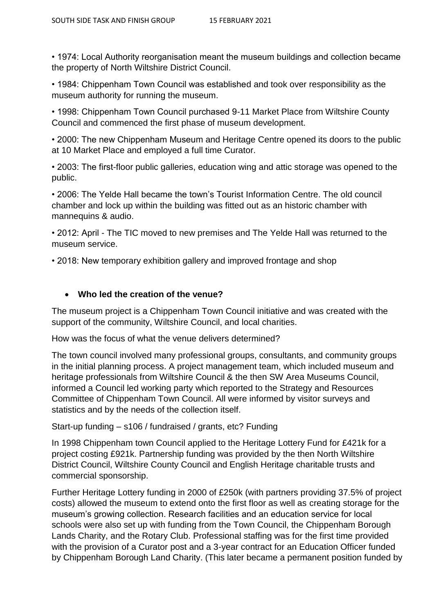• 1974: Local Authority reorganisation meant the museum buildings and collection became the property of North Wiltshire District Council.

• 1984: Chippenham Town Council was established and took over responsibility as the museum authority for running the museum.

• 1998: Chippenham Town Council purchased 9-11 Market Place from Wiltshire County Council and commenced the first phase of museum development.

• 2000: The new Chippenham Museum and Heritage Centre opened its doors to the public at 10 Market Place and employed a full time Curator.

• 2003: The first-floor public galleries, education wing and attic storage was opened to the public.

• 2006: The Yelde Hall became the town's Tourist Information Centre. The old council chamber and lock up within the building was fitted out as an historic chamber with mannequins & audio.

• 2012: April - The TIC moved to new premises and The Yelde Hall was returned to the museum service.

• 2018: New temporary exhibition gallery and improved frontage and shop

## **Who led the creation of the venue?**

The museum project is a Chippenham Town Council initiative and was created with the support of the community, Wiltshire Council, and local charities.

How was the focus of what the venue delivers determined?

The town council involved many professional groups, consultants, and community groups in the initial planning process. A project management team, which included museum and heritage professionals from Wiltshire Council & the then SW Area Museums Council, informed a Council led working party which reported to the Strategy and Resources Committee of Chippenham Town Council. All were informed by visitor surveys and statistics and by the needs of the collection itself.

Start-up funding – s106 / fundraised / grants, etc? Funding

In 1998 Chippenham town Council applied to the Heritage Lottery Fund for £421k for a project costing £921k. Partnership funding was provided by the then North Wiltshire District Council, Wiltshire County Council and English Heritage charitable trusts and commercial sponsorship.

Further Heritage Lottery funding in 2000 of £250k (with partners providing 37.5% of project costs) allowed the museum to extend onto the first floor as well as creating storage for the museum's growing collection. Research facilities and an education service for local schools were also set up with funding from the Town Council, the Chippenham Borough Lands Charity, and the Rotary Club. Professional staffing was for the first time provided with the provision of a Curator post and a 3-year contract for an Education Officer funded by Chippenham Borough Land Charity. (This later became a permanent position funded by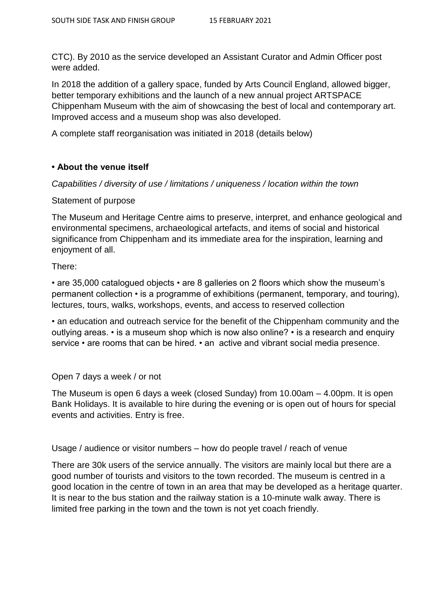CTC). By 2010 as the service developed an Assistant Curator and Admin Officer post were added.

In 2018 the addition of a gallery space, funded by Arts Council England, allowed bigger, better temporary exhibitions and the launch of a new annual project ARTSPACE Chippenham Museum with the aim of showcasing the best of local and contemporary art. Improved access and a museum shop was also developed.

A complete staff reorganisation was initiated in 2018 (details below)

## **• About the venue itself**

*Capabilities / diversity of use / limitations / uniqueness / location within the town* 

### Statement of purpose

The Museum and Heritage Centre aims to preserve, interpret, and enhance geological and environmental specimens, archaeological artefacts, and items of social and historical significance from Chippenham and its immediate area for the inspiration, learning and enjoyment of all.

There:

• are 35,000 catalogued objects • are 8 galleries on 2 floors which show the museum's permanent collection • is a programme of exhibitions (permanent, temporary, and touring), lectures, tours, walks, workshops, events, and access to reserved collection

• an education and outreach service for the benefit of the Chippenham community and the outlying areas. • is a museum shop which is now also online? • is a research and enquiry service • are rooms that can be hired. • an active and vibrant social media presence.

### Open 7 days a week / or not

The Museum is open 6 days a week (closed Sunday) from 10.00am – 4.00pm. It is open Bank Holidays. It is available to hire during the evening or is open out of hours for special events and activities. Entry is free.

Usage / audience or visitor numbers – how do people travel / reach of venue

There are 30k users of the service annually. The visitors are mainly local but there are a good number of tourists and visitors to the town recorded. The museum is centred in a good location in the centre of town in an area that may be developed as a heritage quarter. It is near to the bus station and the railway station is a 10-minute walk away. There is limited free parking in the town and the town is not yet coach friendly.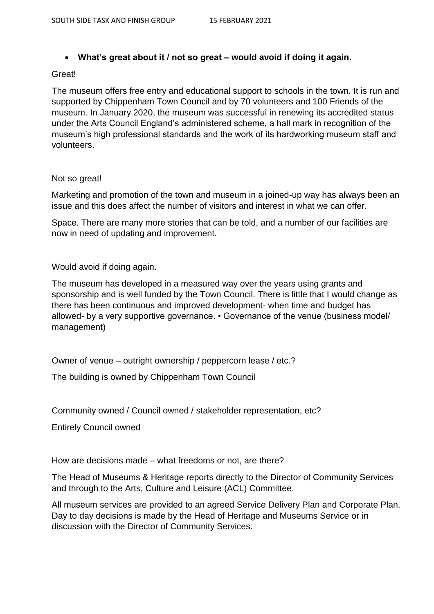## **What's great about it / not so great – would avoid if doing it again.**

#### Great!

The museum offers free entry and educational support to schools in the town. It is run and supported by Chippenham Town Council and by 70 volunteers and 100 Friends of the museum. In January 2020, the museum was successful in renewing its accredited status under the Arts Council England's administered scheme, a hall mark in recognition of the museum's high professional standards and the work of its hardworking museum staff and volunteers.

### Not so great!

Marketing and promotion of the town and museum in a joined-up way has always been an issue and this does affect the number of visitors and interest in what we can offer.

Space. There are many more stories that can be told, and a number of our facilities are now in need of updating and improvement.

Would avoid if doing again.

The museum has developed in a measured way over the years using grants and sponsorship and is well funded by the Town Council. There is little that I would change as there has been continuous and improved development- when time and budget has allowed- by a very supportive governance. • Governance of the venue (business model/ management)

Owner of venue – outright ownership / peppercorn lease / etc.?

The building is owned by Chippenham Town Council

Community owned / Council owned / stakeholder representation, etc?

Entirely Council owned

How are decisions made – what freedoms or not, are there?

The Head of Museums & Heritage reports directly to the Director of Community Services and through to the Arts, Culture and Leisure (ACL) Committee.

All museum services are provided to an agreed Service Delivery Plan and Corporate Plan. Day to day decisions is made by the Head of Heritage and Museums Service or in discussion with the Director of Community Services.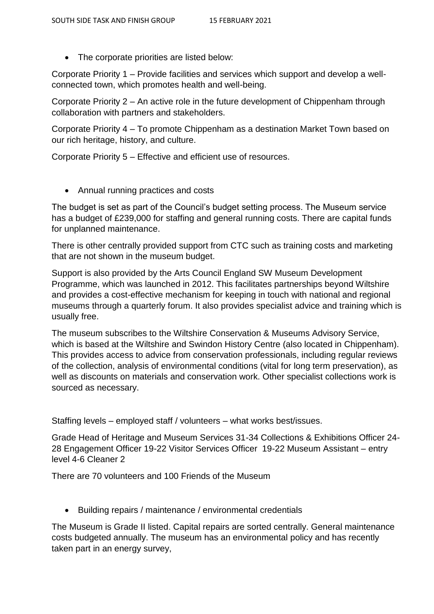• The corporate priorities are listed below:

Corporate Priority 1 – Provide facilities and services which support and develop a wellconnected town, which promotes health and well-being.

Corporate Priority 2 – An active role in the future development of Chippenham through collaboration with partners and stakeholders.

Corporate Priority 4 – To promote Chippenham as a destination Market Town based on our rich heritage, history, and culture.

Corporate Priority 5 – Effective and efficient use of resources.

Annual running practices and costs

The budget is set as part of the Council's budget setting process. The Museum service has a budget of £239,000 for staffing and general running costs. There are capital funds for unplanned maintenance.

There is other centrally provided support from CTC such as training costs and marketing that are not shown in the museum budget.

Support is also provided by the Arts Council England SW Museum Development Programme, which was launched in 2012. This facilitates partnerships beyond Wiltshire and provides a cost-effective mechanism for keeping in touch with national and regional museums through a quarterly forum. It also provides specialist advice and training which is usually free.

The museum subscribes to the Wiltshire Conservation & Museums Advisory Service, which is based at the Wiltshire and Swindon History Centre (also located in Chippenham). This provides access to advice from conservation professionals, including regular reviews of the collection, analysis of environmental conditions (vital for long term preservation), as well as discounts on materials and conservation work. Other specialist collections work is sourced as necessary.

Staffing levels – employed staff / volunteers – what works best/issues.

Grade Head of Heritage and Museum Services 31-34 Collections & Exhibitions Officer 24- 28 Engagement Officer 19-22 Visitor Services Officer 19-22 Museum Assistant – entry level 4-6 Cleaner 2

There are 70 volunteers and 100 Friends of the Museum

Building repairs / maintenance / environmental credentials

The Museum is Grade II listed. Capital repairs are sorted centrally. General maintenance costs budgeted annually. The museum has an environmental policy and has recently taken part in an energy survey,